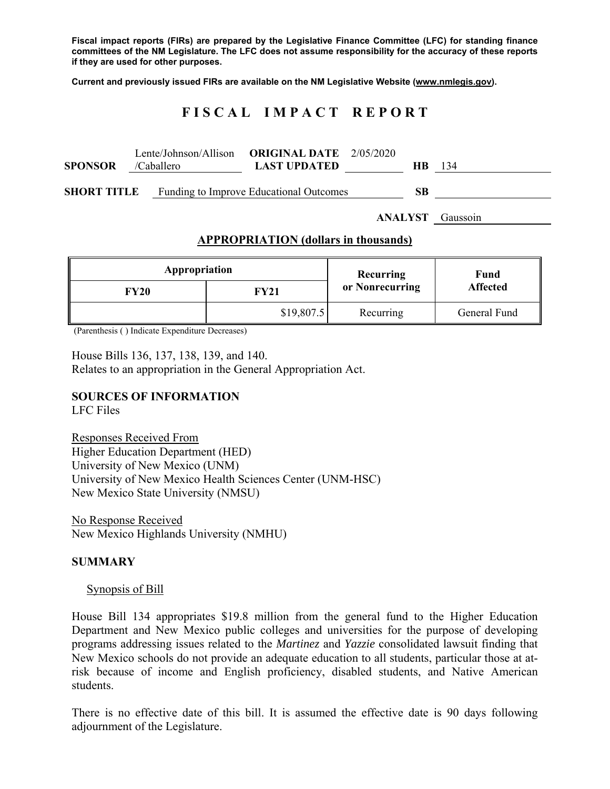**Fiscal impact reports (FIRs) are prepared by the Legislative Finance Committee (LFC) for standing finance committees of the NM Legislature. The LFC does not assume responsibility for the accuracy of these reports if they are used for other purposes.** 

**Current and previously issued FIRs are available on the NM Legislative Website (www.nmlegis.gov).** 

# **F I S C A L I M P A C T R E P O R T**

| <b>SPONSOR</b>     | /Caballero | Lente/Johnson/Allison <b>ORIGINAL DATE</b> $2/05/2020$<br><b>LAST UPDATED</b> | <b>HB</b> | 134 |
|--------------------|------------|-------------------------------------------------------------------------------|-----------|-----|
| <b>SHORT TITLE</b> |            | Funding to Improve Educational Outcomes                                       | SВ        |     |

**ANALYST** Gaussoin

#### **APPROPRIATION (dollars in thousands)**

| Appropriation |             | Recurring       | Fund            |  |
|---------------|-------------|-----------------|-----------------|--|
| FY20          | <b>FY21</b> | or Nonrecurring | <b>Affected</b> |  |
|               | \$19,807.5  | Recurring       | General Fund    |  |

(Parenthesis ( ) Indicate Expenditure Decreases)

House Bills 136, 137, 138, 139, and 140. Relates to an appropriation in the General Appropriation Act.

#### **SOURCES OF INFORMATION**

LFC Files

Responses Received From Higher Education Department (HED) University of New Mexico (UNM) University of New Mexico Health Sciences Center (UNM-HSC) New Mexico State University (NMSU)

No Response Received New Mexico Highlands University (NMHU)

#### **SUMMARY**

#### Synopsis of Bill

House Bill 134 appropriates \$19.8 million from the general fund to the Higher Education Department and New Mexico public colleges and universities for the purpose of developing programs addressing issues related to the *Martinez* and *Yazzie* consolidated lawsuit finding that New Mexico schools do not provide an adequate education to all students, particular those at atrisk because of income and English proficiency, disabled students, and Native American students.

There is no effective date of this bill. It is assumed the effective date is 90 days following adjournment of the Legislature.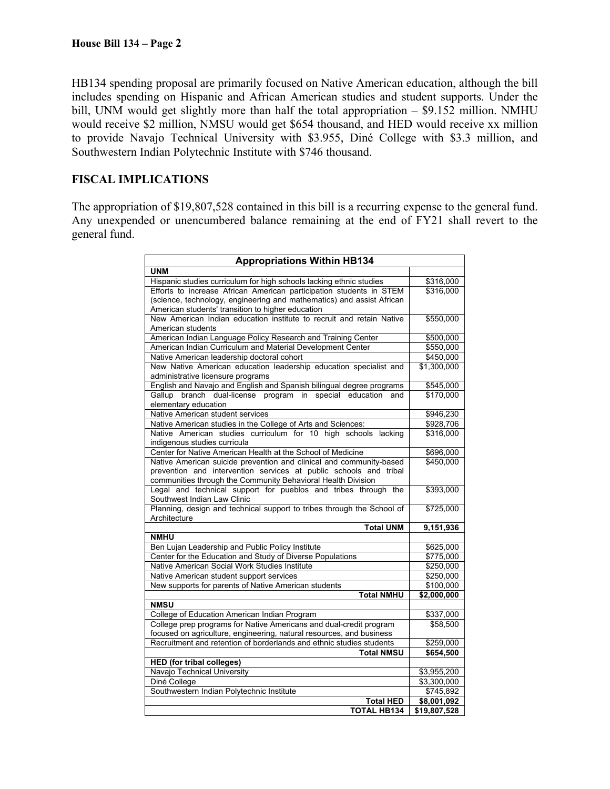HB134 spending proposal are primarily focused on Native American education, although the bill includes spending on Hispanic and African American studies and student supports. Under the bill, UNM would get slightly more than half the total appropriation – \$9.152 million. NMHU would receive \$2 million, NMSU would get \$654 thousand, and HED would receive xx million to provide Navajo Technical University with \$3.955, Diné College with \$3.3 million, and Southwestern Indian Polytechnic Institute with \$746 thousand.

## **FISCAL IMPLICATIONS**

The appropriation of \$19,807,528 contained in this bill is a recurring expense to the general fund. Any unexpended or unencumbered balance remaining at the end of FY21 shall revert to the general fund.

| <b>Appropriations Within HB134</b>                                     |                      |  |  |  |  |
|------------------------------------------------------------------------|----------------------|--|--|--|--|
| <b>UNM</b>                                                             |                      |  |  |  |  |
| Hispanic studies curriculum for high schools lacking ethnic studies    | \$316,000            |  |  |  |  |
| Efforts to increase African American participation students in STEM    | \$316,000            |  |  |  |  |
| (science, technology, engineering and mathematics) and assist African  |                      |  |  |  |  |
| American students' transition to higher education                      |                      |  |  |  |  |
| New American Indian education institute to recruit and retain Native   | \$550,000            |  |  |  |  |
| American students                                                      |                      |  |  |  |  |
| American Indian Language Policy Research and Training Center           | \$500,000            |  |  |  |  |
| American Indian Curriculum and Material Development Center             | \$550.000            |  |  |  |  |
| Native American leadership doctoral cohort                             | $\frac{1}{1}450,000$ |  |  |  |  |
| New Native American education leadership education specialist and      | \$1,300,000          |  |  |  |  |
| administrative licensure programs                                      |                      |  |  |  |  |
| English and Navajo and English and Spanish bilingual degree programs   | \$545,000            |  |  |  |  |
| Gallup branch dual-license program<br>in special education<br>and      | \$170,000            |  |  |  |  |
| elementary education                                                   |                      |  |  |  |  |
| Native American student services                                       | \$946,230            |  |  |  |  |
| Native American studies in the College of Arts and Sciences:           | \$928,706            |  |  |  |  |
| Native American studies curriculum for 10 high schools lacking         | \$316,000            |  |  |  |  |
| indigenous studies curricula                                           |                      |  |  |  |  |
| Center for Native American Health at the School of Medicine            | \$696,000            |  |  |  |  |
| Native American suicide prevention and clinical and community-based    | \$450,000            |  |  |  |  |
| prevention and intervention services at public schools and tribal      |                      |  |  |  |  |
| communities through the Community Behavioral Health Division           |                      |  |  |  |  |
| Legal and technical support for pueblos and tribes through the         | \$393,000            |  |  |  |  |
| Southwest Indian Law Clinic                                            |                      |  |  |  |  |
| Planning, design and technical support to tribes through the School of | \$725,000            |  |  |  |  |
| Architecture                                                           |                      |  |  |  |  |
| <b>Total UNM</b>                                                       | 9,151,936            |  |  |  |  |
| <b>NMHU</b>                                                            |                      |  |  |  |  |
| Ben Lujan Leadership and Public Policy Institute                       | \$625,000            |  |  |  |  |
| Center for the Education and Study of Diverse Populations              | \$775,000            |  |  |  |  |
| Native American Social Work Studies Institute                          | \$250,000            |  |  |  |  |
| Native American student support services                               | \$250,000            |  |  |  |  |
| New supports for parents of Native American students                   | \$100,000            |  |  |  |  |
| <b>Total NMHU</b>                                                      | \$2,000,000          |  |  |  |  |
| <b>NMSU</b>                                                            |                      |  |  |  |  |
| College of Education American Indian Program                           | \$337,000            |  |  |  |  |
| College prep programs for Native Americans and dual-credit program     | \$58,500             |  |  |  |  |
| focused on agriculture, engineering, natural resources, and business   |                      |  |  |  |  |
| Recruitment and retention of borderlands and ethnic studies students   | \$259,000            |  |  |  |  |
| <b>Total NMSU</b>                                                      | \$654,500            |  |  |  |  |
| <b>HED</b> (for tribal colleges)                                       |                      |  |  |  |  |
| Navajo Technical University                                            | \$3,955,200          |  |  |  |  |
| Diné College                                                           | \$3,300,000          |  |  |  |  |
| Southwestern Indian Polytechnic Institute                              | \$745,892            |  |  |  |  |
| <b>Total HED</b>                                                       | \$8,001,092          |  |  |  |  |
| <b>TOTAL HB134</b>                                                     | \$19,807,528         |  |  |  |  |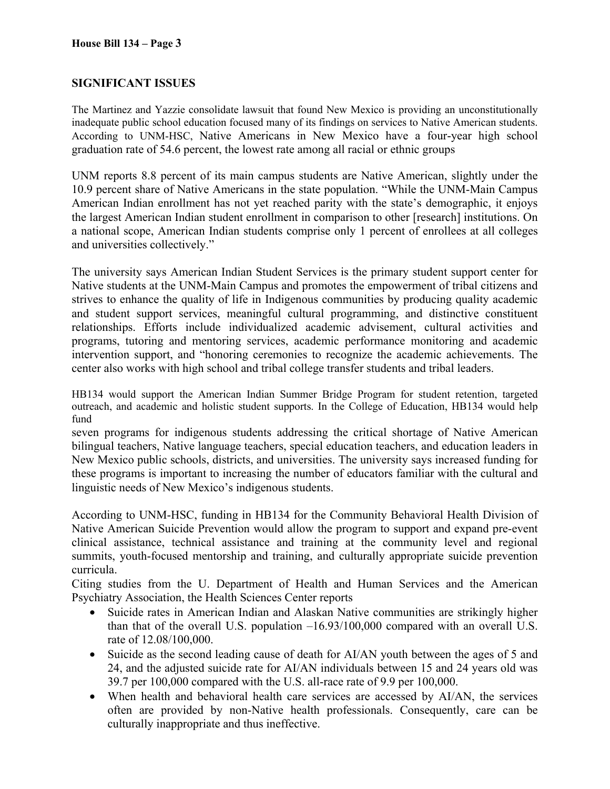## **SIGNIFICANT ISSUES**

The Martinez and Yazzie consolidate lawsuit that found New Mexico is providing an unconstitutionally inadequate public school education focused many of its findings on services to Native American students. According to UNM-HSC, Native Americans in New Mexico have a four-year high school graduation rate of 54.6 percent, the lowest rate among all racial or ethnic groups

UNM reports 8.8 percent of its main campus students are Native American, slightly under the 10.9 percent share of Native Americans in the state population. "While the UNM-Main Campus American Indian enrollment has not yet reached parity with the state's demographic, it enjoys the largest American Indian student enrollment in comparison to other [research] institutions. On a national scope, American Indian students comprise only 1 percent of enrollees at all colleges and universities collectively."

The university says American Indian Student Services is the primary student support center for Native students at the UNM-Main Campus and promotes the empowerment of tribal citizens and strives to enhance the quality of life in Indigenous communities by producing quality academic and student support services, meaningful cultural programming, and distinctive constituent relationships. Efforts include individualized academic advisement, cultural activities and programs, tutoring and mentoring services, academic performance monitoring and academic intervention support, and "honoring ceremonies to recognize the academic achievements. The center also works with high school and tribal college transfer students and tribal leaders.

HB134 would support the American Indian Summer Bridge Program for student retention, targeted outreach, and academic and holistic student supports. In the College of Education, HB134 would help fund

seven programs for indigenous students addressing the critical shortage of Native American bilingual teachers, Native language teachers, special education teachers, and education leaders in New Mexico public schools, districts, and universities. The university says increased funding for these programs is important to increasing the number of educators familiar with the cultural and linguistic needs of New Mexico's indigenous students.

According to UNM-HSC, funding in HB134 for the Community Behavioral Health Division of Native American Suicide Prevention would allow the program to support and expand pre-event clinical assistance, technical assistance and training at the community level and regional summits, youth-focused mentorship and training, and culturally appropriate suicide prevention curricula.

Citing studies from the U. Department of Health and Human Services and the American Psychiatry Association, the Health Sciences Center reports

- Suicide rates in American Indian and Alaskan Native communities are strikingly higher than that of the overall U.S. population –16.93/100,000 compared with an overall U.S. rate of 12.08/100,000.
- Suicide as the second leading cause of death for AI/AN youth between the ages of 5 and 24, and the adjusted suicide rate for AI/AN individuals between 15 and 24 years old was 39.7 per 100,000 compared with the U.S. all-race rate of 9.9 per 100,000.
- When health and behavioral health care services are accessed by AI/AN, the services often are provided by non-Native health professionals. Consequently, care can be culturally inappropriate and thus ineffective.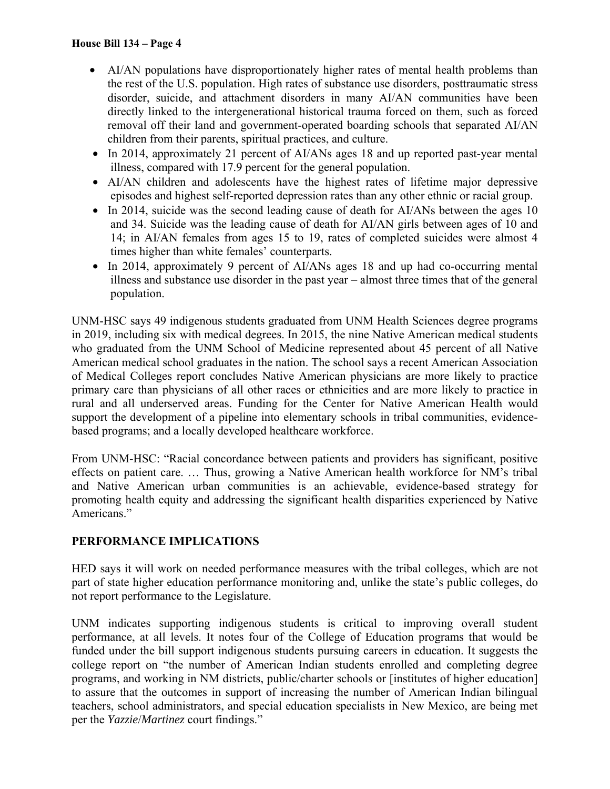- AI/AN populations have disproportionately higher rates of mental health problems than the rest of the U.S. population. High rates of substance use disorders, posttraumatic stress disorder, suicide, and attachment disorders in many AI/AN communities have been directly linked to the intergenerational historical trauma forced on them, such as forced removal off their land and government-operated boarding schools that separated AI/AN children from their parents, spiritual practices, and culture.
- In 2014, approximately 21 percent of AI/ANs ages 18 and up reported past-year mental illness, compared with 17.9 percent for the general population.
- AI/AN children and adolescents have the highest rates of lifetime major depressive episodes and highest self-reported depression rates than any other ethnic or racial group.
- In 2014, suicide was the second leading cause of death for AI/ANs between the ages 10 and 34. Suicide was the leading cause of death for AI/AN girls between ages of 10 and 14; in AI/AN females from ages 15 to 19, rates of completed suicides were almost 4 times higher than white females' counterparts.
- In 2014, approximately 9 percent of AI/ANs ages 18 and up had co-occurring mental illness and substance use disorder in the past year – almost three times that of the general population.

UNM-HSC says 49 indigenous students graduated from UNM Health Sciences degree programs in 2019, including six with medical degrees. In 2015, the nine Native American medical students who graduated from the UNM School of Medicine represented about 45 percent of all Native American medical school graduates in the nation. The school says a recent American Association of Medical Colleges report concludes Native American physicians are more likely to practice primary care than physicians of all other races or ethnicities and are more likely to practice in rural and all underserved areas. Funding for the Center for Native American Health would support the development of a pipeline into elementary schools in tribal communities, evidencebased programs; and a locally developed healthcare workforce.

From UNM-HSC: "Racial concordance between patients and providers has significant, positive effects on patient care. … Thus, growing a Native American health workforce for NM's tribal and Native American urban communities is an achievable, evidence-based strategy for promoting health equity and addressing the significant health disparities experienced by Native Americans."

## **PERFORMANCE IMPLICATIONS**

HED says it will work on needed performance measures with the tribal colleges, which are not part of state higher education performance monitoring and, unlike the state's public colleges, do not report performance to the Legislature.

UNM indicates supporting indigenous students is critical to improving overall student performance, at all levels. It notes four of the College of Education programs that would be funded under the bill support indigenous students pursuing careers in education. It suggests the college report on "the number of American Indian students enrolled and completing degree programs, and working in NM districts, public/charter schools or [institutes of higher education] to assure that the outcomes in support of increasing the number of American Indian bilingual teachers, school administrators, and special education specialists in New Mexico, are being met per the *Yazzie*/*Martinez* court findings."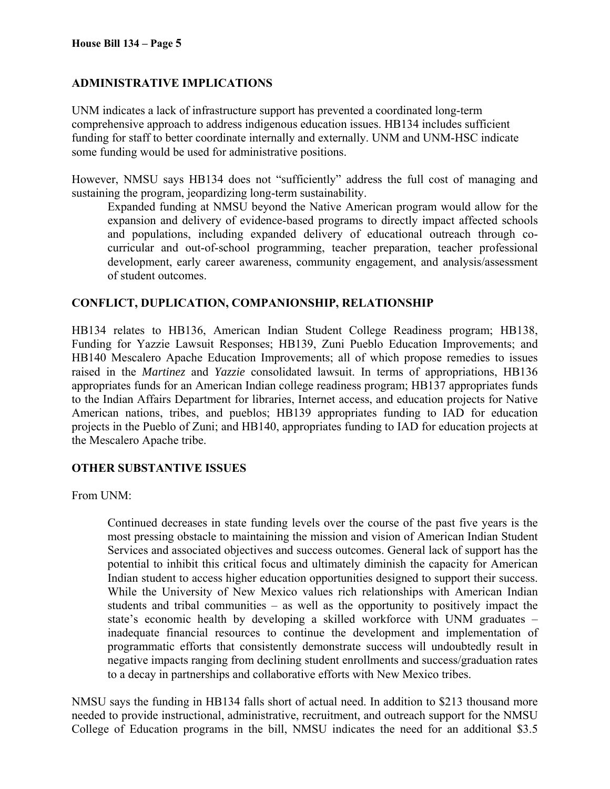## **ADMINISTRATIVE IMPLICATIONS**

UNM indicates a lack of infrastructure support has prevented a coordinated long-term comprehensive approach to address indigenous education issues. HB134 includes sufficient funding for staff to better coordinate internally and externally. UNM and UNM-HSC indicate some funding would be used for administrative positions.

However, NMSU says HB134 does not "sufficiently" address the full cost of managing and sustaining the program, jeopardizing long-term sustainability.

Expanded funding at NMSU beyond the Native American program would allow for the expansion and delivery of evidence-based programs to directly impact affected schools and populations, including expanded delivery of educational outreach through cocurricular and out-of-school programming, teacher preparation, teacher professional development, early career awareness, community engagement, and analysis/assessment of student outcomes.

### **CONFLICT, DUPLICATION, COMPANIONSHIP, RELATIONSHIP**

HB134 relates to HB136, American Indian Student College Readiness program; HB138, Funding for Yazzie Lawsuit Responses; HB139, Zuni Pueblo Education Improvements; and HB140 Mescalero Apache Education Improvements; all of which propose remedies to issues raised in the *Martinez* and *Yazzie* consolidated lawsuit. In terms of appropriations, HB136 appropriates funds for an American Indian college readiness program; HB137 appropriates funds to the Indian Affairs Department for libraries, Internet access, and education projects for Native American nations, tribes, and pueblos; HB139 appropriates funding to IAD for education projects in the Pueblo of Zuni; and HB140, appropriates funding to IAD for education projects at the Mescalero Apache tribe.

#### **OTHER SUBSTANTIVE ISSUES**

From UNM:

Continued decreases in state funding levels over the course of the past five years is the most pressing obstacle to maintaining the mission and vision of American Indian Student Services and associated objectives and success outcomes. General lack of support has the potential to inhibit this critical focus and ultimately diminish the capacity for American Indian student to access higher education opportunities designed to support their success. While the University of New Mexico values rich relationships with American Indian students and tribal communities – as well as the opportunity to positively impact the state's economic health by developing a skilled workforce with UNM graduates – inadequate financial resources to continue the development and implementation of programmatic efforts that consistently demonstrate success will undoubtedly result in negative impacts ranging from declining student enrollments and success/graduation rates to a decay in partnerships and collaborative efforts with New Mexico tribes.

NMSU says the funding in HB134 falls short of actual need. In addition to \$213 thousand more needed to provide instructional, administrative, recruitment, and outreach support for the NMSU College of Education programs in the bill, NMSU indicates the need for an additional \$3.5